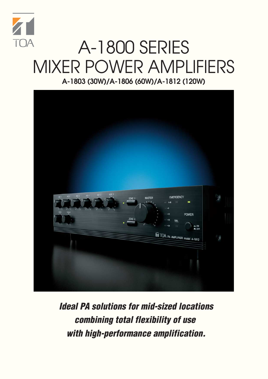

## A-1800 SERIES MIXER POWER AMPLIFIERS **A-1803 (30W)/A-1806 (60W)/A-1812 (120W)**



**Ideal PA solutions for mid-sized locations combining total flexibility of use with high-performance amplification.**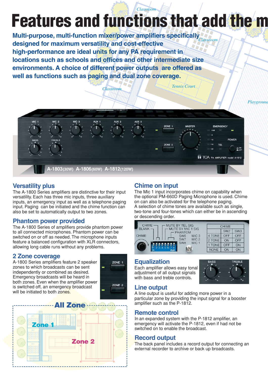### **Features and functions that add the m** *Classroom*

*Classroom Tennis Court*

**Multi-purpose, multi-function mixer/power amplifiers specifically**  *Classroom* **designed for maximum versatility and cost-effective high-performance are ideal units for any PA requirement in locations such as schools and offices and other intermediate size environments. A choice of different power outputs are offered as well as functions such as paging and dual zone coverage.**



### **Versatility plus**

The A-1800 Series amplifiers are distinctive for their input versatility. Each has three mic inputs, three auxiliary inputs, an emergency input as well as a telephone paging input. Paging can be initiated and the chime function can also be set to automatically output to two zones.

### **Phantom power provided**

The A-1800 Series of amplifiers provide phantom power to all connected microphones. Phantom power can be switched on or off as needed. The microphone inputs feature a balanced configuration with XLR connectors, allowing long cable runs without any problems.

### **2 Zone coverage**

A-1800 Series amplifiers feature 2 speaker zones to which broadcasts can be sent independently or combined as desired. Emergency broadcasts will be heard in both zones. Even when the amplifier power is switched off, an emergency broadcast will be initiated to both zones.





### **Chime on input**

The Mic 1 input incorporates chime on capability when the optional PM-660D Paging Microphone is used. Chime on can also be activated for the telephone paging. A selection of chime tones are available such as single, two-tone and four-tones which can either be in ascending or descending order.

| <b>CHIME</b><br>MUTE BY TEL SIG<br>$BLANK -$<br>MUTE BY MIC 1 SIG |                     |                  | <b>CHIME</b> |                 |                 |
|-------------------------------------------------------------------|---------------------|------------------|--------------|-----------------|-----------------|
|                                                                   | <b>PHANTOM</b>      |                  |              | SW <sub>2</sub> | SW <sub>3</sub> |
| <b>CHIME</b>                                                      | SW <sub>6</sub>     | MIC <sub>3</sub> | <b>TONE</b>  | OFF             | OFF             |
|                                                                   | SW7                 | MIC <sub>2</sub> | 2 TONE       | ON              | OFF             |
|                                                                   | SW <sub>8</sub>     | MIC 1            | <b>TONE</b>  | OFF             | ON              |
|                                                                   | <b>78</b><br>5<br>6 |                  | <b>NONE</b>  | ON              | ON              |

### **Equalization**

Each amplifier allows easy tonal adjustment of all output signals with bass and treble controls.



### **Line output**

A line output is useful for adding more power in a particular zone by providing the input signal for a booster amplifier such as the P-1812.

### **Remote control**

In an expanded system with the P-1812 amplifier, an emergency will activate the P-1812, even if had not be switched on to enable the broadcast.

### **Record output**

The back panel includes a record output for connecting an external recorder to archive or back up broadcasts.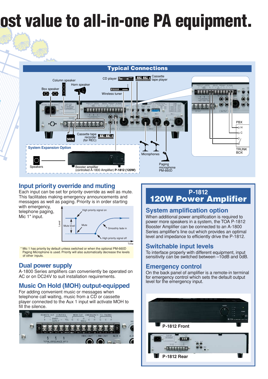# **ost value to all-in-one PA equipment.**





### **Input priority override and muting**

Each input can be set for priority override as well as mute. This facilitates making emergency announcements and messages as well as paging. Priority is in order starting

with emergency, telephone paging, Mic 1\* input.

*d*



 \* Mic 1 has priority by default unless switched or when the optional PM-660D Paging Microphone is used. Priority will also automatically decrease the levels of other inputs.

### **Dual power supply**

A-1800 Series amplifiers can conveniently be operated on AC or on DC24V to suit installation requirements.

### **Music On Hold (MOH) output-equipped**

For adding convenient music or messages when telephone call waiting, music from a CD or cassette player connected to the Aux 1 input will activate MOH to fill the silence.



### **P-1812 120W Power Amplifier**

### **System amplification option**

When additional power amplification is required to power more speakers in a system, the TOA P-1812 Booster Amplifier can be connected to an A-1800 Series amplifier's line out which provides an optimal level and impedance to efficiently drive the P-1812.

### **Switchable input levels**

To interface properly with different equipment, input sensitivity can be switched between -10dB and 0dB.

### **Emergency control**

On the back panel of amplifier is a remote-in terminal for emergency control which sets the default output level for the emergency input.